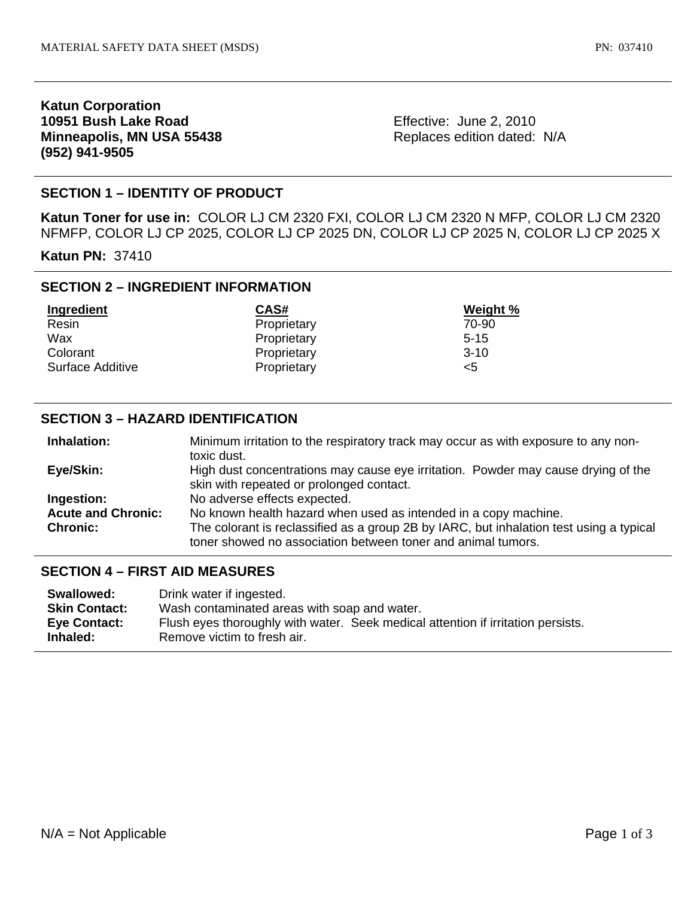## **Katun Corporation 10951 Bush Lake Road Minneapolis, MN USA 55438 (952) 941-9505**

Effective: June 2, 2010 Replaces edition dated: N/A

# **SECTION 1 – IDENTITY OF PRODUCT**

**Katun Toner for use in:** COLOR LJ CM 2320 FXI, COLOR LJ CM 2320 N MFP, COLOR LJ CM 2320 NFMFP, COLOR LJ CP 2025, COLOR LJ CP 2025 DN, COLOR LJ CP 2025 N, COLOR LJ CP 2025 X

**Katun PN:** 37410

## **SECTION 2 – INGREDIENT INFORMATION**

| Ingredient       | CAS#        | Weight % |
|------------------|-------------|----------|
| Resin            | Proprietary | 70-90    |
| Wax              | Proprietary | $5 - 15$ |
| Colorant         | Proprietary | $3-10$   |
| Surface Additive | Proprietary | <5       |

### **SECTION 3 – HAZARD IDENTIFICATION**

| Inhalation:               | Minimum irritation to the respiratory track may occur as with exposure to any non-      |  |
|---------------------------|-----------------------------------------------------------------------------------------|--|
|                           | toxic dust.                                                                             |  |
| Eye/Skin:                 | High dust concentrations may cause eye irritation. Powder may cause drying of the       |  |
|                           | skin with repeated or prolonged contact.                                                |  |
| Ingestion:                | No adverse effects expected.                                                            |  |
| <b>Acute and Chronic:</b> | No known health hazard when used as intended in a copy machine.                         |  |
| <b>Chronic:</b>           | The colorant is reclassified as a group 2B by IARC, but inhalation test using a typical |  |
|                           | toner showed no association between toner and animal tumors.                            |  |

### **SECTION 4 – FIRST AID MEASURES**

| Wash contaminated areas with soap and water.                                     |  |
|----------------------------------------------------------------------------------|--|
| Flush eyes thoroughly with water. Seek medical attention if irritation persists. |  |
|                                                                                  |  |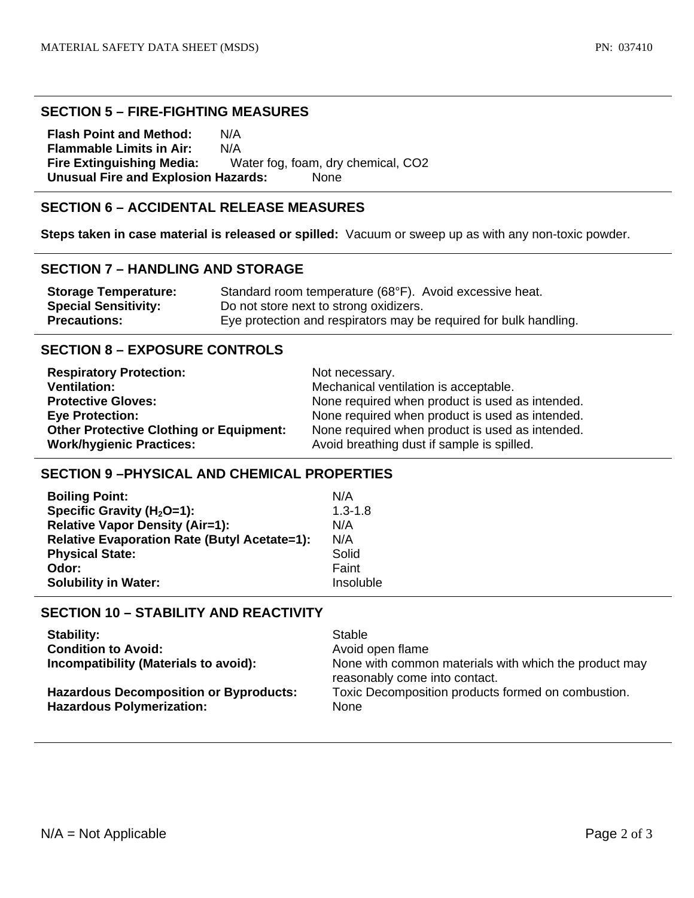#### **SECTION 5 – FIRE-FIGHTING MEASURES**

**Flash Point and Method:** N/A **Flammable Limits in Air:** N/A **Fire Extinguishing Media:** Water fog, foam, dry chemical, CO2 **Unusual Fire and Explosion Hazards:** None

# **SECTION 6 – ACCIDENTAL RELEASE MEASURES**

**Steps taken in case material is released or spilled:** Vacuum or sweep up as with any non-toxic powder.

### **SECTION 7 – HANDLING AND STORAGE**

| <b>Storage Temperature:</b> | Standard room temperature (68°F). Avoid excessive heat.           |
|-----------------------------|-------------------------------------------------------------------|
| <b>Special Sensitivity:</b> | Do not store next to strong oxidizers.                            |
| <b>Precautions:</b>         | Eye protection and respirators may be required for bulk handling. |

### **SECTION 8 – EXPOSURE CONTROLS**

| <b>Respiratory Protection:</b>                 | Not necessary.                                  |
|------------------------------------------------|-------------------------------------------------|
| <b>Ventilation:</b>                            | Mechanical ventilation is acceptable.           |
| <b>Protective Gloves:</b>                      | None required when product is used as intended. |
| <b>Eye Protection:</b>                         | None required when product is used as intended. |
| <b>Other Protective Clothing or Equipment:</b> | None required when product is used as intended. |
| <b>Work/hygienic Practices:</b>                | Avoid breathing dust if sample is spilled.      |

### **SECTION 9 –PHYSICAL AND CHEMICAL PROPERTIES**

| <b>Boiling Point:</b>                               | N/A         |
|-----------------------------------------------------|-------------|
| Specific Gravity ( $H_2O=1$ ):                      | $1.3 - 1.8$ |
| <b>Relative Vapor Density (Air=1):</b>              | N/A         |
| <b>Relative Evaporation Rate (Butyl Acetate=1):</b> | N/A         |
| <b>Physical State:</b>                              | Solid       |
| Odor:                                               | Faint       |
| <b>Solubility in Water:</b>                         | Insoluble   |

# **SECTION 10 – STABILITY AND REACTIVITY**

| <b>Stability:</b>                                                                 | Stable                                                                                 |
|-----------------------------------------------------------------------------------|----------------------------------------------------------------------------------------|
| <b>Condition to Avoid:</b>                                                        | Avoid open flame                                                                       |
| Incompatibility (Materials to avoid):                                             | None with common materials with which the product may<br>reasonably come into contact. |
| <b>Hazardous Decomposition or Byproducts:</b><br><b>Hazardous Polymerization:</b> | Toxic Decomposition products formed on combustion.<br>None                             |